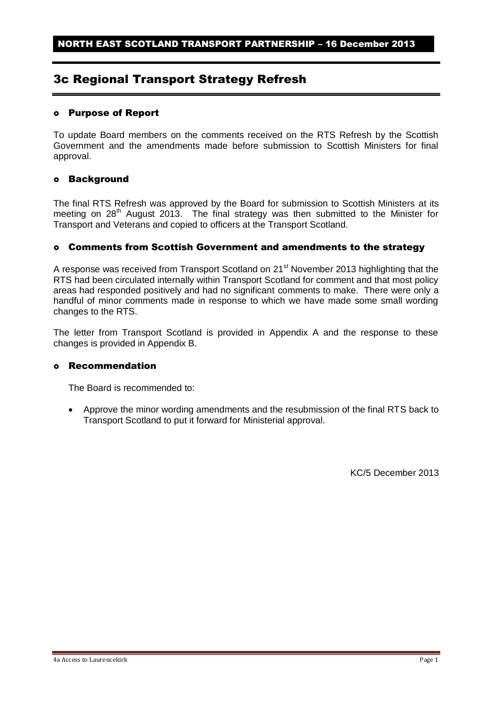# 3c Regional Transport Strategy Refresh

#### Purpose of Report

To update Board members on the comments received on the RTS Refresh by the Scottish Government and the amendments made before submission to Scottish Ministers for final approval.

## Background

The final RTS Refresh was approved by the Board for submission to Scottish Ministers at its meeting on  $28<sup>th</sup>$  August 2013. The final strategy was then submitted to the Minister for Transport and Veterans and copied to officers at the Transport Scotland.

## Comments from Scottish Government and amendments to the strategy

A response was received from Transport Scotland on 21<sup>st</sup> November 2013 highlighting that the RTS had been circulated internally within Transport Scotland for comment and that most policy areas had responded positively and had no significant comments to make. There were only a handful of minor comments made in response to which we have made some small wording changes to the RTS.

The letter from Transport Scotland is provided in Appendix A and the response to these changes is provided in Appendix B.

#### Recommendation

The Board is recommended to:

 Approve the minor wording amendments and the resubmission of the final RTS back to Transport Scotland to put it forward for Ministerial approval.

KC/5 December 2013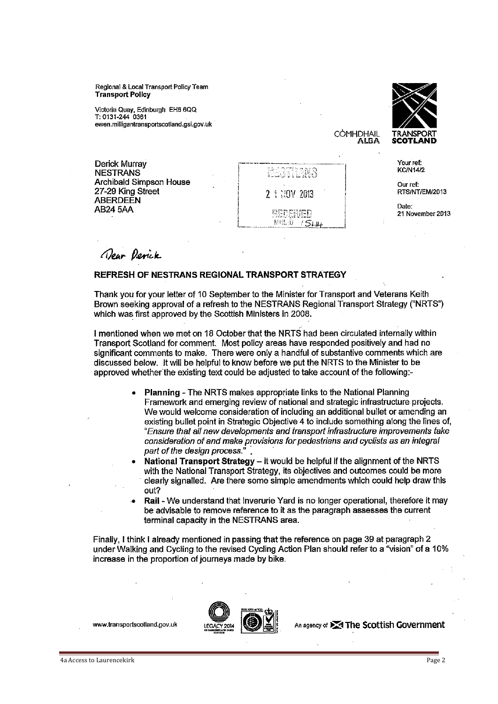Regional & Local Transport Policy Team **Transport Policy** 

Victoria Quay, Edinburgh EH6 6QQ T: 0131-244 0361 ewen.milligantransportscotland.gsi.gov.uk



Your ref: **KC/N14/2** 

CÒMHDHAIL ALBA

> Our ref-RTS/NT/EM/2013

Date: 21 November 2013

Derick Murray **NESTRANS** Archibald Simpson House 27-29 King Street **ABERDEEN AB24 5AA** 

STRANS 2 1:30V 2013 **RECEIVED** 

Mal D / 544

Dear Derick

#### REFRESH OF NESTRANS REGIONAL TRANSPORT STRATEGY

Thank you for your letter of 10 September to the Minister for Transport and Veterans Keith Brown seeking approval of a refresh to the NESTRANS Regional Transport Strategy ("NRTS") which was first approved by the Scottish Ministers in 2008.

I mentioned when we met on 18 October that the NRTS had been circulated internally within Transport Scotland for comment. Most policy areas have responded positively and had no significant comments to make. There were only a handful of substantive comments which are discussed below. It will be helpful to know before we put the NRTS to the Minister to be approved whether the existing text could be adjusted to take account of the following:-

- Planning The NRTS makes appropriate links to the National Planning Framework and emerging review of national and strategic infrastructure projects. We would welcome consideration of including an additional bullet or amending an existing bullet point in Strategic Objective 4 to include something along the lines of, "Ensure that all new developments and transport infrastructure improvements take consideration of and make provisions for pedestrians and cyclists as an integral part of the design process."
- National Transport Strategy it would be helpful if the alignment of the NRTS with the National Transport Strategy, its objectives and outcomes could be more clearly signalled. Are there some simple amendments which could help draw this out?
- Rail We understand that Inverurie Yard is no longer operational, therefore it may be advisable to remove reference to it as the paragraph assesses the current terminal capacity in the NESTRANS area.

Finally, I think I already mentioned in passing that the reference on page 39 at paragraph 2 under Walking and Cycling to the revised Cycling Action Plan should refer to a "vision" of a 10% increase in the proportion of journeys made by bike.

www.transportscotland.gov.uk



An agency of **X** The Scottish Government

4a Access to Laurencekirk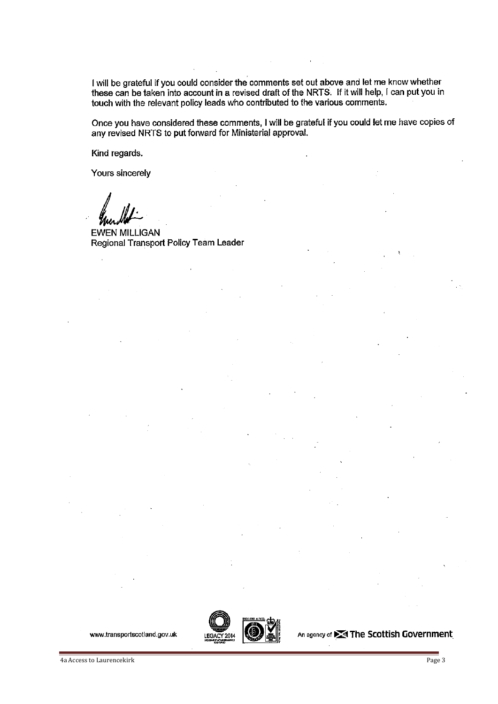I will be grateful if you could consider the comments set out above and let me know whether these can be taken into account in a revised draft of the NRTS. If it will help, I can put you in touch with the relevant policy leads who contributed to the various comments.

Once you have considered these comments, I will be grateful if you could let me have copies of any revised NRTS to put forward for Ministerial approval.

Kind regards.

Yours sincerely

**EWEN MILLIGAN** Regional Transport Policy Team Leader



An agency of **X** The Scottish Government

www.transportscotland.gov.uk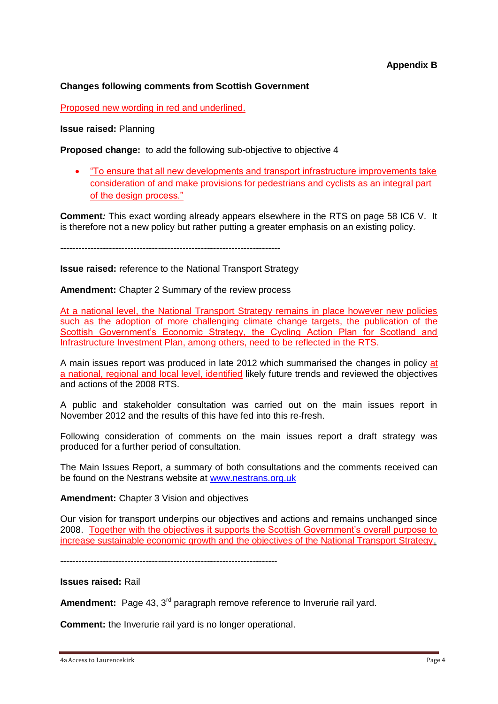## **Changes following comments from Scottish Government**

Proposed new wording in red and underlined.

**Issue raised:** Planning

**Proposed change:** to add the following sub-objective to objective 4

 "To ensure that all new developments and transport infrastructure improvements take consideration of and make provisions for pedestrians and cyclists as an integral part of the design process."

**Comment***:* This exact wording already appears elsewhere in the RTS on page 58 IC6 V. It is therefore not a new policy but rather putting a greater emphasis on an existing policy.

------------------------------------------------------------------------

**Issue raised:** reference to the National Transport Strategy

**Amendment:** Chapter 2 Summary of the review process

At a national level, the National Transport Strategy remains in place however new policies such as the adoption of more challenging climate change targets, the publication of the Scottish Government's Economic Strategy, the Cycling Action Plan for Scotland and Infrastructure Investment Plan, among others, need to be reflected in the RTS.

A main issues report was produced in late 2012 which summarised the changes in policy at a national, regional and local level, identified likely future trends and reviewed the objectives and actions of the 2008 RTS.

A public and stakeholder consultation was carried out on the main issues report in November 2012 and the results of this have fed into this re-fresh.

Following consideration of comments on the main issues report a draft strategy was produced for a further period of consultation.

The Main Issues Report, a summary of both consultations and the comments received can be found on the Nestrans website at [www.nestrans.org.uk](http://www.nestrans.org.uk/)

**Amendment:** Chapter 3 Vision and objectives

Our vision for transport underpins our objectives and actions and remains unchanged since 2008. Together with the objectives it supports the Scottish Government's overall purpose to increase sustainable economic growth and the objectives of the National Transport Strategy.

-----------------------------------------------------------------------

**Issues raised:** Rail

**Amendment:** Page 43, 3<sup>rd</sup> paragraph remove reference to Inverurie rail yard.

**Comment:** the Inverurie rail yard is no longer operational.